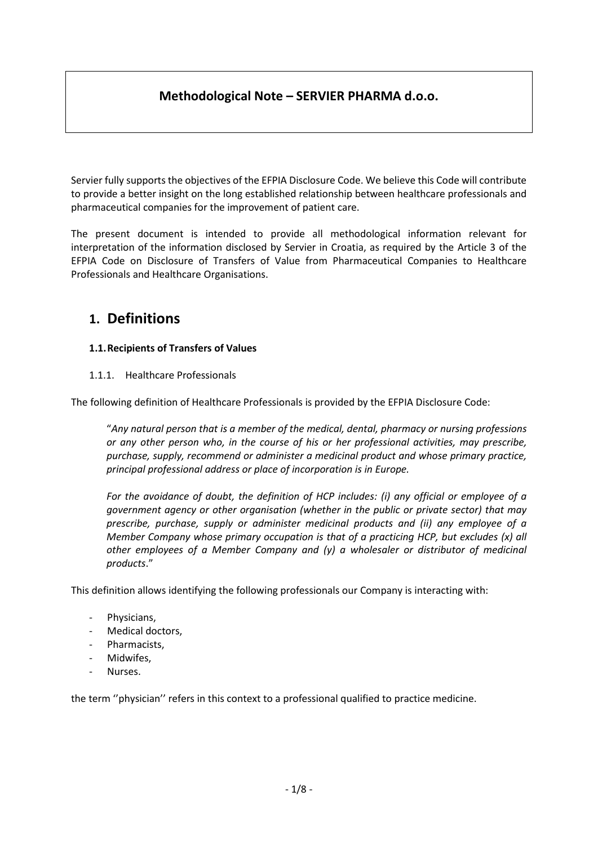## **Methodological Note – SERVIER PHARMA d.o.o.**

Servier fully supports the objectives of the EFPIA Disclosure Code. We believe this Code will contribute to provide a better insight on the long established relationship between healthcare professionals and pharmaceutical companies for the improvement of patient care.

The present document is intended to provide all methodological information relevant for interpretation of the information disclosed by Servier in Croatia, as required by the Article 3 of the EFPIA Code on Disclosure of Transfers of Value from Pharmaceutical Companies to Healthcare Professionals and Healthcare Organisations.

# **1. Definitions**

## **1.1.Recipients of Transfers of Values**

1.1.1. Healthcare Professionals

The following definition of Healthcare Professionals is provided by the EFPIA Disclosure Code:

"*Any natural person that is a member of the medical, dental, pharmacy or nursing professions or any other person who, in the course of his or her professional activities, may prescribe, purchase, supply, recommend or administer a medicinal product and whose primary practice, principal professional address or place of incorporation is in Europe.*

*For the avoidance of doubt, the definition of HCP includes: (i) any official or employee of a government agency or other organisation (whether in the public or private sector) that may prescribe, purchase, supply or administer medicinal products and (ii) any employee of a Member Company whose primary occupation is that of a practicing HCP, but excludes (x) all other employees of a Member Company and (y) a wholesaler or distributor of medicinal products*."

This definition allows identifying the following professionals our Company is interacting with:

- Physicians,
- Medical doctors,
- Pharmacists,
- Midwifes,
- Nurses.

the term ''physician'' refers in this context to a professional qualified to practice medicine.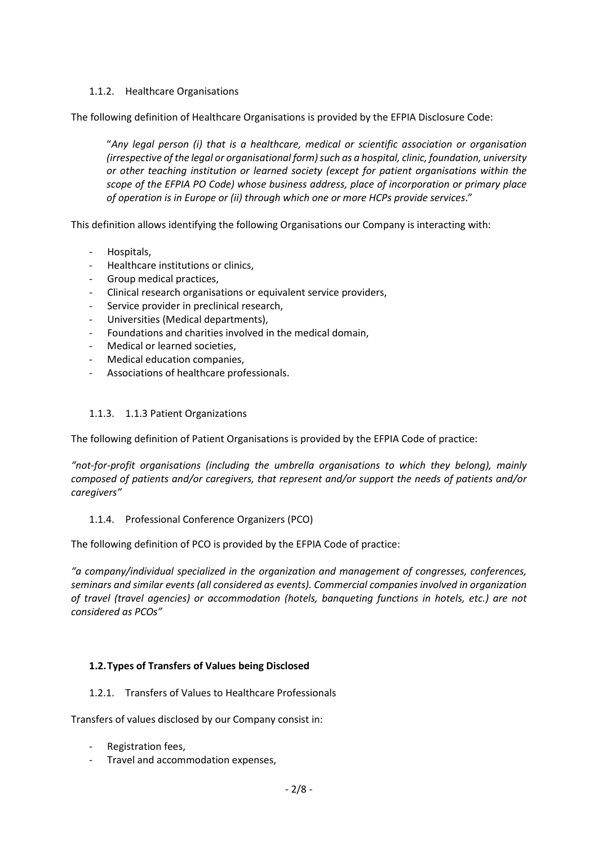## 1.1.2. Healthcare Organisations

The following definition of Healthcare Organisations is provided by the EFPIA Disclosure Code:

"*Any legal person (i) that is a healthcare, medical or scientific association or organisation (irrespective of the legal or organisational form) such as a hospital, clinic, foundation, university or other teaching institution or learned society (except for patient organisations within the scope of the EFPIA PO Code) whose business address, place of incorporation or primary place of operation is in Europe or (ii) through which one or more HCPs provide services*."

This definition allows identifying the following Organisations our Company is interacting with:

- Hospitals,
- Healthcare institutions or clinics,
- Group medical practices,
- Clinical research organisations or equivalent service providers,
- Service provider in preclinical research,
- Universities (Medical departments),
- Foundations and charities involved in the medical domain,
- Medical or learned societies,
- Medical education companies,
- Associations of healthcare professionals.

#### 1.1.3. 1.1.3 Patient Organizations

The following definition of Patient Organisations is provided by the EFPIA Code of practice:

*"not-for-profit organisations (including the umbrella organisations to which they belong), mainly composed of patients and/or caregivers, that represent and/or support the needs of patients and/or caregivers"*

#### 1.1.4. Professional Conference Organizers (PCO)

The following definition of PCO is provided by the EFPIA Code of practice:

*"a company/individual specialized in the organization and management of congresses, conferences, seminars and similar events (all considered as events). Commercial companies involved in organization of travel (travel agencies) or accommodation (hotels, banqueting functions in hotels, etc.) are not considered as PCOs"*

## **1.2.Types of Transfers of Values being Disclosed**

1.2.1. Transfers of Values to Healthcare Professionals

Transfers of values disclosed by our Company consist in:

- Registration fees,
- Travel and accommodation expenses,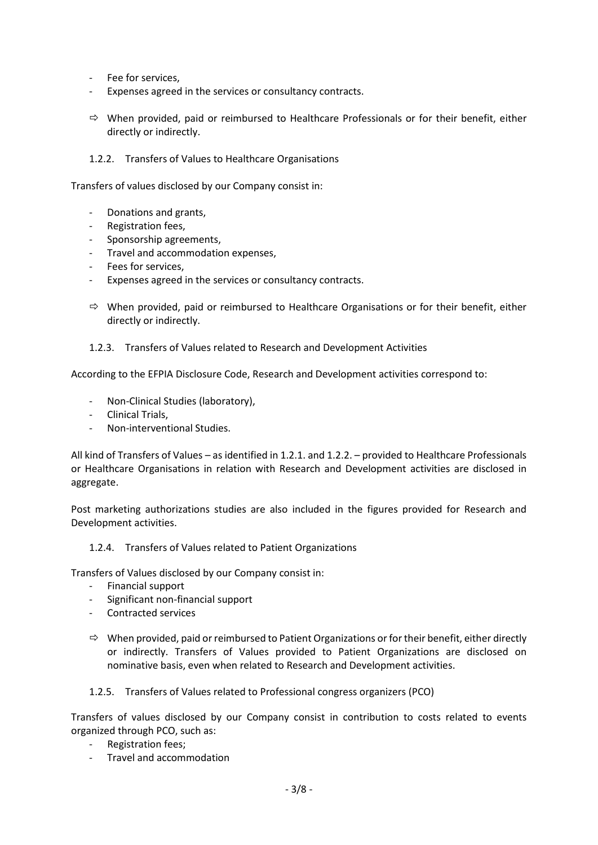- Fee for services,
- Expenses agreed in the services or consultancy contracts.
- $\Rightarrow$  When provided, paid or reimbursed to Healthcare Professionals or for their benefit, either directly or indirectly.

#### 1.2.2. Transfers of Values to Healthcare Organisations

Transfers of values disclosed by our Company consist in:

- Donations and grants,
- Registration fees,
- Sponsorship agreements,
- Travel and accommodation expenses,
- Fees for services,
- Expenses agreed in the services or consultancy contracts.
- $\Rightarrow$  When provided, paid or reimbursed to Healthcare Organisations or for their benefit, either directly or indirectly.
- 1.2.3. Transfers of Values related to Research and Development Activities

According to the EFPIA Disclosure Code, Research and Development activities correspond to:

- Non-Clinical Studies (laboratory),
- Clinical Trials,
- Non-interventional Studies.

All kind of Transfers of Values – as identified in 1.2.1. and 1.2.2. – provided to Healthcare Professionals or Healthcare Organisations in relation with Research and Development activities are disclosed in aggregate.

Post marketing authorizations studies are also included in the figures provided for Research and Development activities.

1.2.4. Transfers of Values related to Patient Organizations

Transfers of Values disclosed by our Company consist in:

- Financial support
- Significant non-financial support
- Contracted services
- $\Rightarrow$  When provided, paid or reimbursed to Patient Organizations or for their benefit, either directly or indirectly. Transfers of Values provided to Patient Organizations are disclosed on nominative basis, even when related to Research and Development activities.
- 1.2.5. Transfers of Values related to Professional congress organizers (PCO)

Transfers of values disclosed by our Company consist in contribution to costs related to events organized through PCO, such as:

- Registration fees;
- Travel and accommodation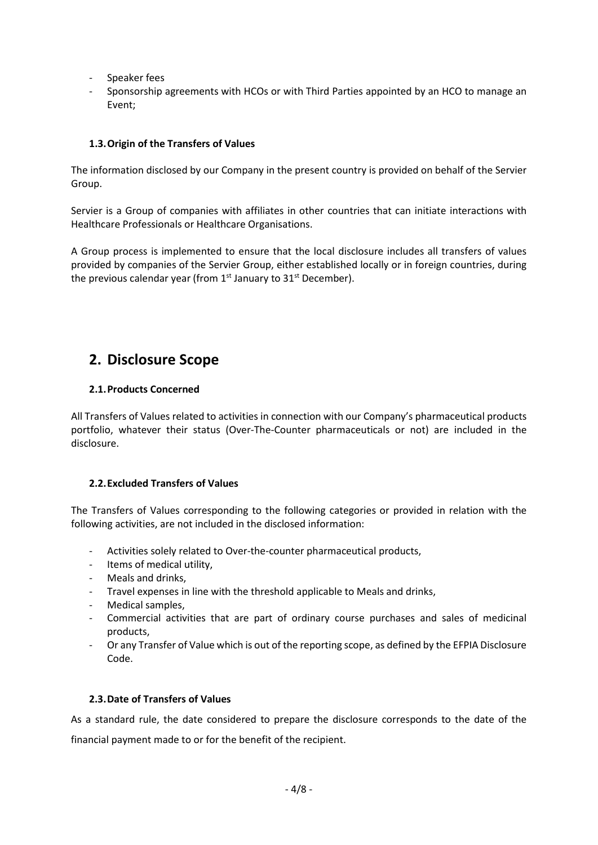- Speaker fees
- Sponsorship agreements with HCOs or with Third Parties appointed by an HCO to manage an Event;

## **1.3.Origin of the Transfers of Values**

The information disclosed by our Company in the present country is provided on behalf of the Servier Group.

Servier is a Group of companies with affiliates in other countries that can initiate interactions with Healthcare Professionals or Healthcare Organisations.

A Group process is implemented to ensure that the local disclosure includes all transfers of values provided by companies of the Servier Group, either established locally or in foreign countries, during the previous calendar year (from  $1<sup>st</sup>$  January to  $31<sup>st</sup>$  December).

# **2. Disclosure Scope**

## **2.1.Products Concerned**

All Transfers of Values related to activities in connection with our Company's pharmaceutical products portfolio, whatever their status (Over-The-Counter pharmaceuticals or not) are included in the disclosure.

## **2.2.Excluded Transfers of Values**

The Transfers of Values corresponding to the following categories or provided in relation with the following activities, are not included in the disclosed information:

- Activities solely related to Over-the-counter pharmaceutical products,
- Items of medical utility,
- Meals and drinks,
- Travel expenses in line with the threshold applicable to Meals and drinks,
- Medical samples,
- Commercial activities that are part of ordinary course purchases and sales of medicinal products,
- Or any Transfer of Value which is out of the reporting scope, as defined by the EFPIA Disclosure Code.

## **2.3.Date of Transfers of Values**

As a standard rule, the date considered to prepare the disclosure corresponds to the date of the financial payment made to or for the benefit of the recipient.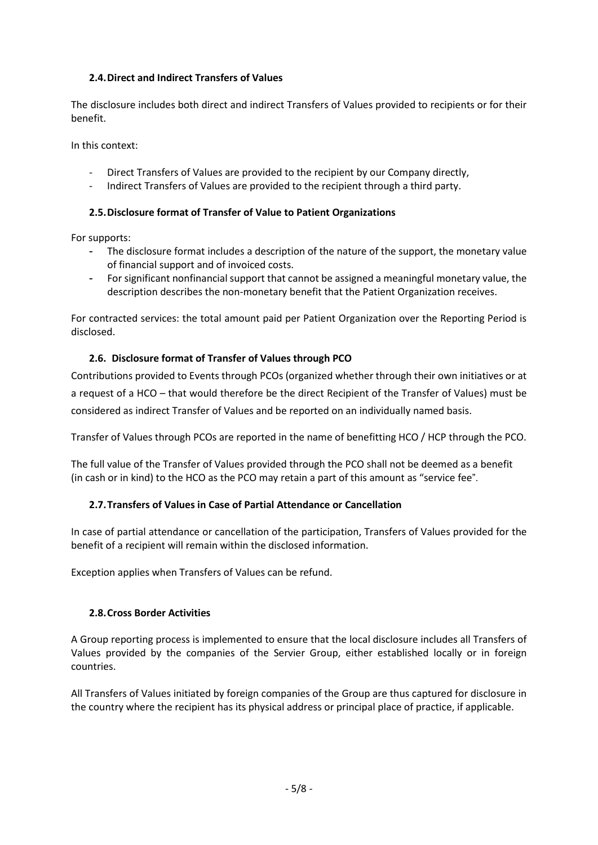## **2.4.Direct and Indirect Transfers of Values**

The disclosure includes both direct and indirect Transfers of Values provided to recipients or for their benefit.

In this context:

- Direct Transfers of Values are provided to the recipient by our Company directly,
- Indirect Transfers of Values are provided to the recipient through a third party.

## **2.5.Disclosure format of Transfer of Value to Patient Organizations**

For supports:

- The disclosure format includes a description of the nature of the support, the monetary value of financial support and of invoiced costs.
- For significant nonfinancial support that cannot be assigned a meaningful monetary value, the description describes the non-monetary benefit that the Patient Organization receives.

For contracted services: the total amount paid per Patient Organization over the Reporting Period is disclosed.

## **2.6. Disclosure format of Transfer of Values through PCO**

Contributions provided to Events through PCOs (organized whether through their own initiatives or at a request of a HCO – that would therefore be the direct Recipient of the Transfer of Values) must be considered as indirect Transfer of Values and be reported on an individually named basis.

Transfer of Values through PCOs are reported in the name of benefitting HCO / HCP through the PCO.

The full value of the Transfer of Values provided through the PCO shall not be deemed as a benefit (in cash or in kind) to the HCO as the PCO may retain a part of this amount as "service fee".

## **2.7.Transfers of Values in Case of Partial Attendance or Cancellation**

In case of partial attendance or cancellation of the participation, Transfers of Values provided for the benefit of a recipient will remain within the disclosed information.

Exception applies when Transfers of Values can be refund.

## **2.8.Cross Border Activities**

A Group reporting process is implemented to ensure that the local disclosure includes all Transfers of Values provided by the companies of the Servier Group, either established locally or in foreign countries.

All Transfers of Values initiated by foreign companies of the Group are thus captured for disclosure in the country where the recipient has its physical address or principal place of practice, if applicable.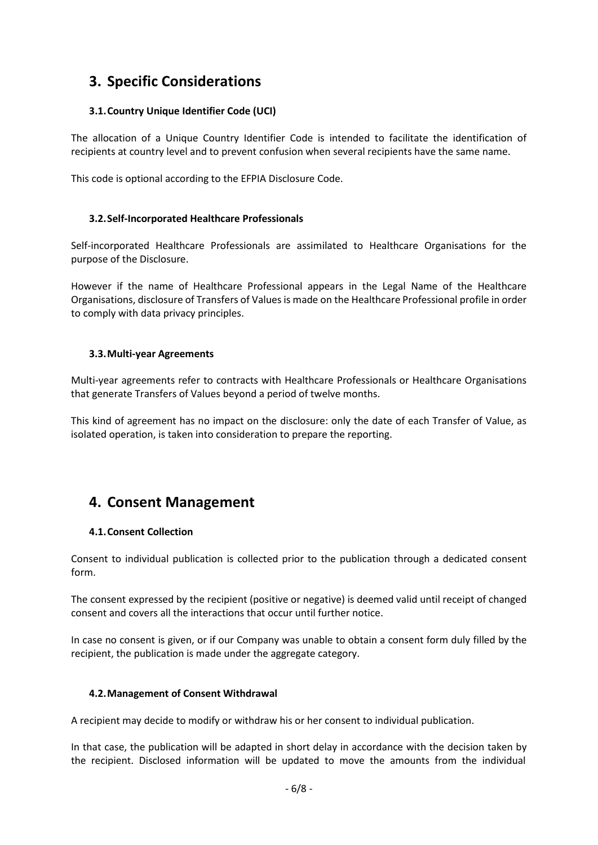# **3. Specific Considerations**

## **3.1.Country Unique Identifier Code (UCI)**

The allocation of a Unique Country Identifier Code is intended to facilitate the identification of recipients at country level and to prevent confusion when several recipients have the same name.

This code is optional according to the EFPIA Disclosure Code.

## **3.2.Self-Incorporated Healthcare Professionals**

Self-incorporated Healthcare Professionals are assimilated to Healthcare Organisations for the purpose of the Disclosure.

However if the name of Healthcare Professional appears in the Legal Name of the Healthcare Organisations, disclosure of Transfers of Values is made on the Healthcare Professional profile in order to comply with data privacy principles.

## **3.3.Multi-year Agreements**

Multi-year agreements refer to contracts with Healthcare Professionals or Healthcare Organisations that generate Transfers of Values beyond a period of twelve months.

This kind of agreement has no impact on the disclosure: only the date of each Transfer of Value, as isolated operation, is taken into consideration to prepare the reporting.

# **4. Consent Management**

## **4.1.Consent Collection**

Consent to individual publication is collected prior to the publication through a dedicated consent form.

The consent expressed by the recipient (positive or negative) is deemed valid until receipt of changed consent and covers all the interactions that occur until further notice.

In case no consent is given, or if our Company was unable to obtain a consent form duly filled by the recipient, the publication is made under the aggregate category.

## **4.2.Management of Consent Withdrawal**

A recipient may decide to modify or withdraw his or her consent to individual publication.

In that case, the publication will be adapted in short delay in accordance with the decision taken by the recipient. Disclosed information will be updated to move the amounts from the individual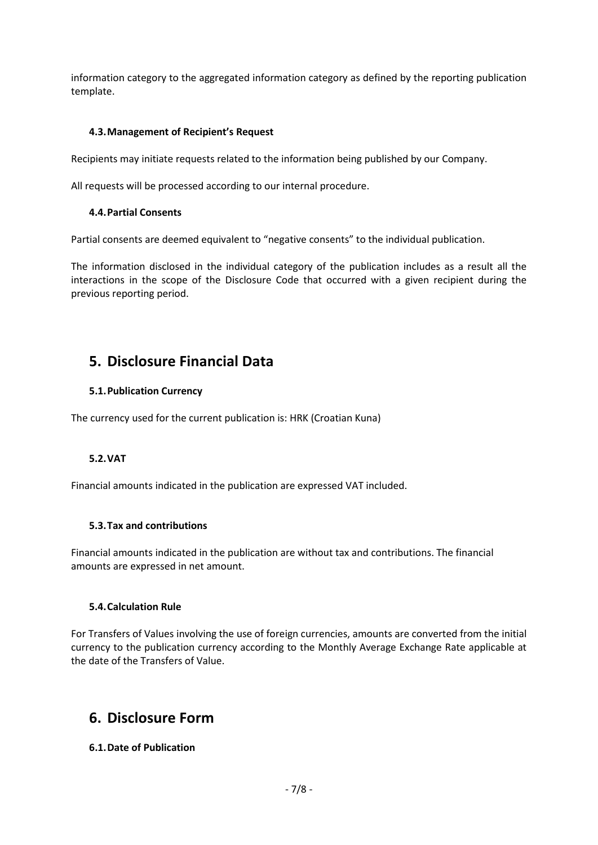information category to the aggregated information category as defined by the reporting publication template.

#### **4.3.Management of Recipient's Request**

Recipients may initiate requests related to the information being published by our Company.

All requests will be processed according to our internal procedure.

#### **4.4.Partial Consents**

Partial consents are deemed equivalent to "negative consents" to the individual publication.

The information disclosed in the individual category of the publication includes as a result all the interactions in the scope of the Disclosure Code that occurred with a given recipient during the previous reporting period.

## **5. Disclosure Financial Data**

#### **5.1.Publication Currency**

The currency used for the current publication is: HRK (Croatian Kuna)

## **5.2.VAT**

Financial amounts indicated in the publication are expressed VAT included.

#### **5.3.Tax and contributions**

Financial amounts indicated in the publication are without tax and contributions. The financial amounts are expressed in net amount.

#### **5.4.Calculation Rule**

For Transfers of Values involving the use of foreign currencies, amounts are converted from the initial currency to the publication currency according to the Monthly Average Exchange Rate applicable at the date of the Transfers of Value.

# **6. Disclosure Form**

## **6.1.Date of Publication**